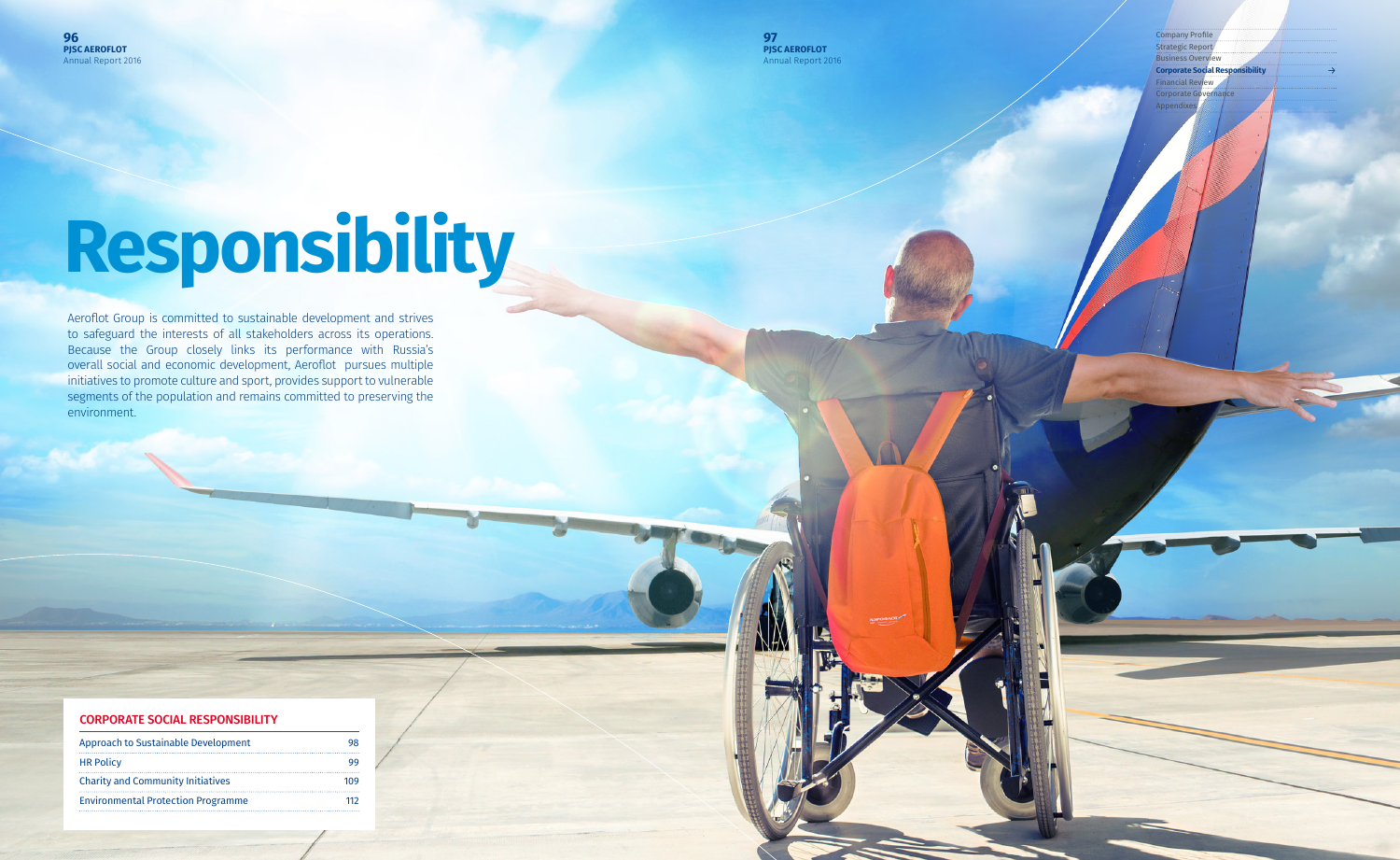Company Profile Strategic Report Business Overview **Corporate Social Responsibility** Financial Review Corporate G Appen

→

#### CORPORATE SOCIAL RESPONSIBILITY

# **Responsibility**

Aeroflot Group is committed to sustainable development and strives to safeguard the interests of all stakeholders across its operations. Because the Group closely links its performance with Russia's overall social and economic development, Aeroflot pursues multiple initiatives to promote culture and sport, provides support to vulnerable segments of the population and remains committed to preserving the environment.

| Approach to Sustainable Development       | 98  |
|-------------------------------------------|-----|
| <b>HR Policy</b>                          | 99  |
| <b>Charity and Community Initiatives</b>  | 109 |
| <b>Environmental Protection Programme</b> | 112 |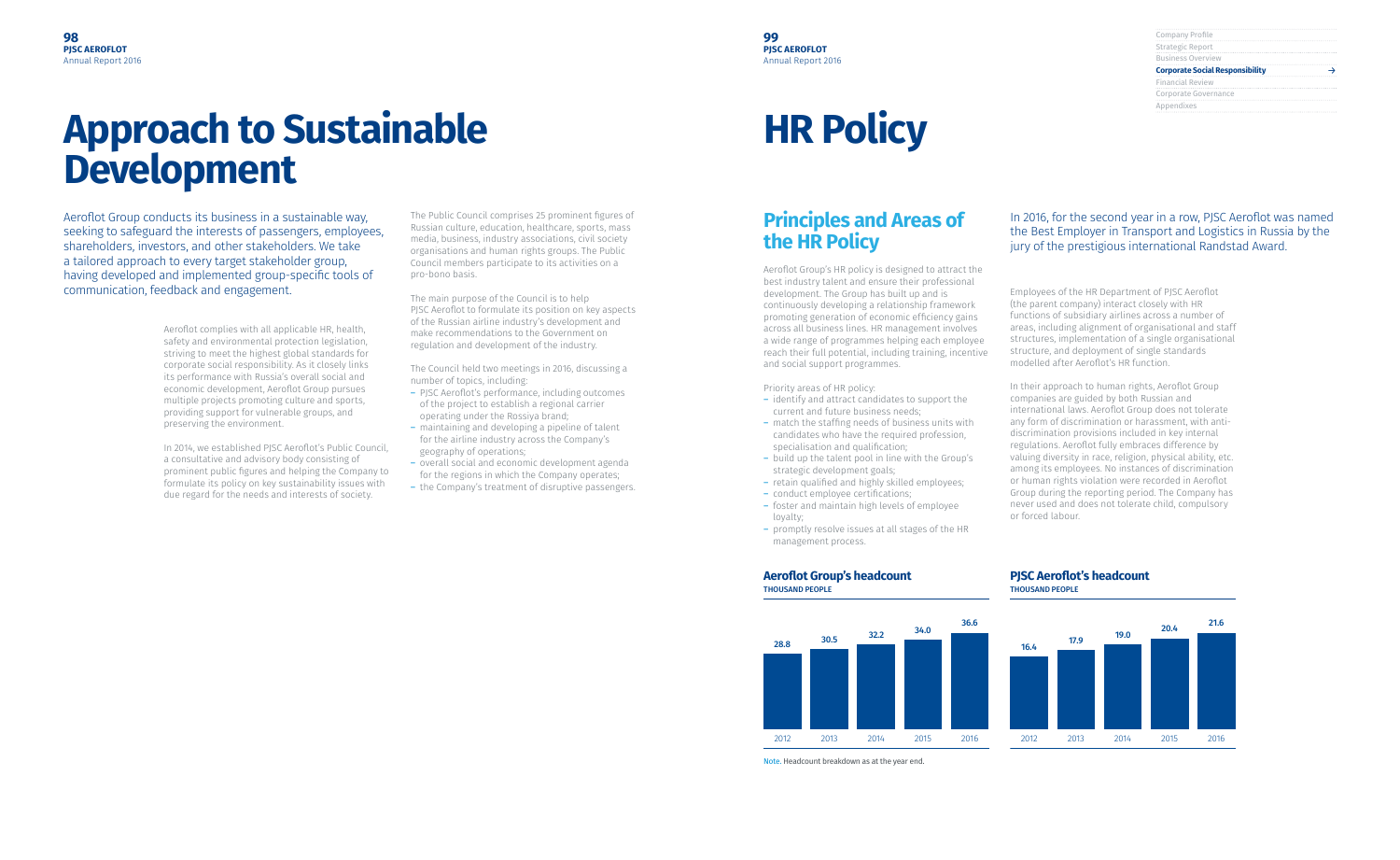#### **99 PJSC AEROFLOT** Annual Report 2016

| Company Profile                        |  |
|----------------------------------------|--|
| Strategic Report                       |  |
| <b>Business Overview</b>               |  |
| <b>Corporate Social Responsibility</b> |  |
| <b>Financial Review</b>                |  |
| Corporate Governance                   |  |
| Appendixes                             |  |
|                                        |  |

Aeroflot Group conducts its business in a sustainable way, seeking to safeguard the interests of passengers, employees, shareholders, investors, and other stakeholders. We take a tailored approach to every target stakeholder group, having developed and implemented group-specific tools of communication, feedback and engagement.

> Aeroflot complies with all applicable HR, health, safety and environmental protection legislation, striving to meet the highest global standards for corporate social responsibility. As it closely links its performance with Russia's overall social and economic development, Aeroflot Group pursues multiple projects promoting culture and sports, providing support for vulnerable groups, and preserving the environment.

In 2014, we established PJSC Aeroflot's Public Council, a consultative and advisory body consisting of prominent public figures and helping the Company to formulate its policy on key sustainability issues with due regard for the needs and interests of society.

The Public Council comprises 25 prominent figures of Russian culture, education, healthcare, sports, mass media, business, industry associations, civil society organisations and human rights groups. The Public Council members participate to its activities on a pro-bono basis.

The main purpose of the Council is to help PISC Aeroflot to formulate its position on key aspects of the Russian airline industry's development and make recommendations to the Government on regulation and development of the industry.

The Council held two meetings in 2016, discussing a number of topics, including:

- ― PJSC Aeroflot's performance, including outcomes of the project to establish a regional carrier operating under the Rossiya brand;
- ― maintaining and developing a pipeline of talent for the airline industry across the Company's geography of operations;
- ― overall social and economic development agenda for the regions in which the Company operates;
- ― the Company's treatment of disruptive passengers.

## **Approach to Sustainable Development**

## **HR Policy**

## **Principles and Areas of the HR Policy**

Aeroflot Group's HR policy is designed to attract the best industry talent and ensure their professional development. The Group has built up and is continuously developing a relationship framework promoting generation of economic efficiency gains across all business lines. HR management involves a wide range of programmes helping each employee reach their full potential, including training, incentive and social support programmes.

#### Priority areas of HR policy:

- ― identify and attract candidates to support the current and future business needs;
- ― match the staffing needs of business units with candidates who have the required profession, specialisation and qualification;
- ― build up the talent pool in line with the Group's strategic development goals;
- ― retain qualified and highly skilled employees;
- ― conduct employee certifications;
- ― foster and maintain high levels of employee loyalty;
- ― promptly resolve issues at all stages of the HR management process.

Employees of the HR Department of PJSC Aeroflot (the parent company) interact closely with HR functions of subsidiary airlines across a number of areas, including alignment of organisational and staff structures, implementation of a single organisational structure, and deployment of single standards modelled after Aeroflot's HR function.

In their approach to human rights, Aeroflot Group companies are guided by both Russian and international laws. Aeroflot Group does not tolerate any form of discrimination or harassment, with antidiscrimination provisions included in key internal regulations. Aeroflot fully embraces difference by valuing diversity in race, religion, physical ability, etc. among its employees. No instances of discrimination or human rights violation were recorded in Aeroflot Group during the reporting period. The Company has never used and does not tolerate child, compulsory or forced labour.

#### In 2016, for the second year in a row, PJSC Aeroflot was named the Best Employer in Transport and Logistics in Russia by the jury of the prestigious international Randstad Award.

#### **Aeroflot Group's headcount**

THOUSAND PEOPLE

#### **PJSC Aeroflot's headcount**

THOUSAND PEOPLE



Note. Headcount breakdown as at the year end.

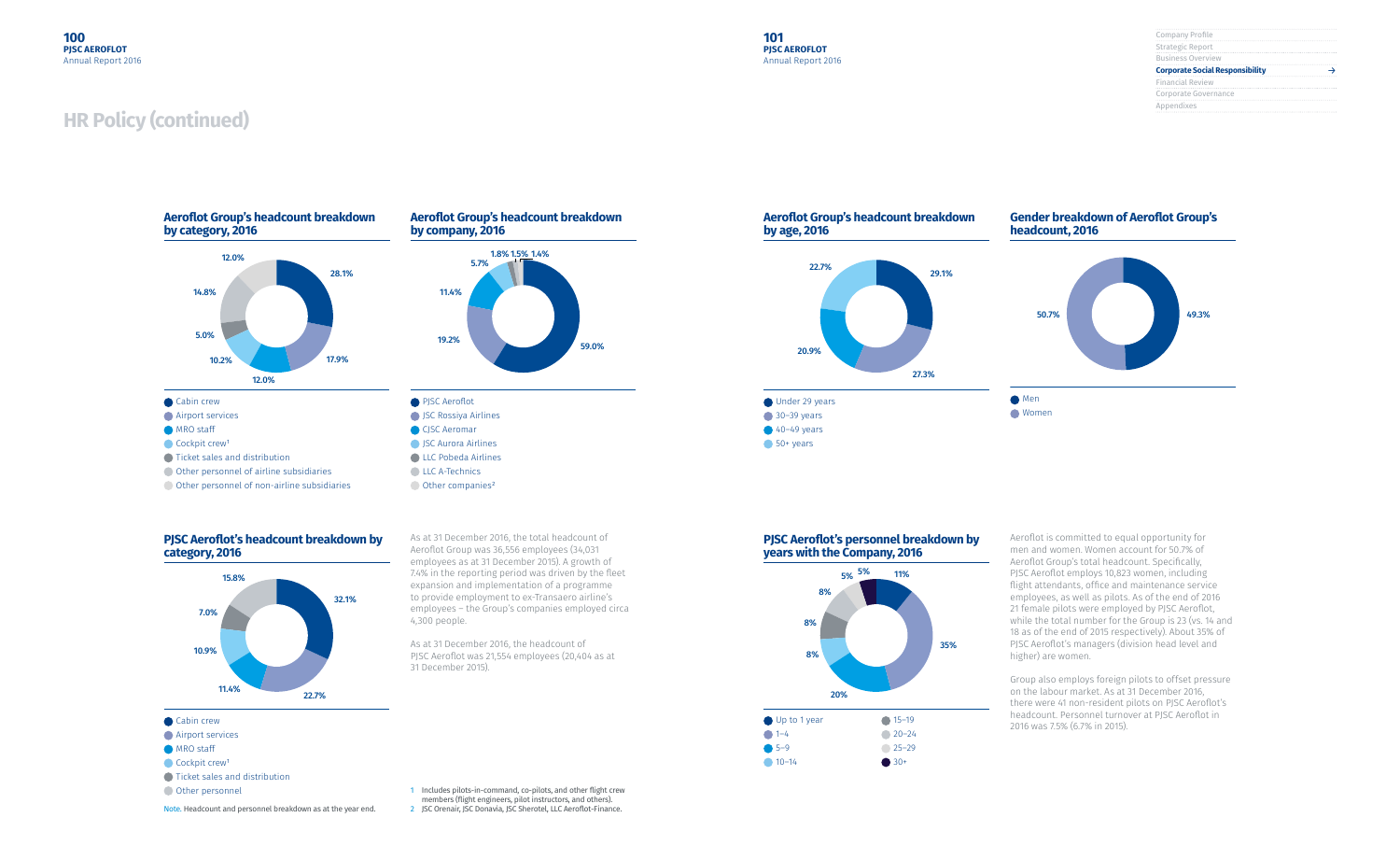| Company Profile                        |  |
|----------------------------------------|--|
| Strategic Report                       |  |
| <b>Business Overview</b>               |  |
| <b>Corporate Social Responsibility</b> |  |
| <b>Financial Review</b>                |  |
| Corporate Governance                   |  |
| Appendixes                             |  |
|                                        |  |

## **PJSC Aeroflot's headcount breakdown by category, 2016**





Note. Headcount and personnel breakdown as at the year end.

**Airport services** 

- **MRO** staff
- $\bigcirc$  Cockpit crew<sup>1</sup>
- Ticket sales and distribution
- Other personnel

1 Includes pilots-in-command, co-pilots, and other flight crew members (flight engineers, pilot instructors, and others).

As at 31 December 2016, the total headcount of Aeroflot Group was 36,556 employees (34,031 employees as at 31 December 2015). A growth of 7.4% in the reporting period was driven by the fleet expansion and implementation of a programme to provide employment to ex-Transaero airline's employees – the Group's companies employed circa

4,300 people.

As at 31 December 2016, the headcount of PJSC Aeroflot was 21,554 employees (20,404 as at

31 December 2015).

2 JSC Orenair, JSC Donavia, JSC Sherotel, LLC Aeroflot-Finance.

#### **Gender breakdown of Aeroflot Group's headcount, 2016**

#### **PJSC Aeroflot's personnel breakdown by years with the Company, 2016**

#### **Aeroflot Group's headcount breakdown by age, 2016**







Aeroflot is committed to equal opportunity for men and women. Women account for 50.7% of Aeroflot Group's total headcount. Specifically, PJSC Aeroflot employs 10,823 women, including flight attendants, office and maintenance service employees, as well as pilots. As of the end of 2016 21 female pilots were employed by PJSC Aeroflot, while the total number for the Group is 23 (vs. 14 and 18 as of the end of 2015 respectively). About 35% of PJSC Aeroflot's managers (division head level and higher) are women.

Group also employs foreign pilots to offset pressure on the labour market. As at 31 December 2016, there were 41 non-resident pilots on PJSC Aeroflot's headcount. Personnel turnover at PJSC Aeroflot in 2016 was 7.5% (6.7% in 2015).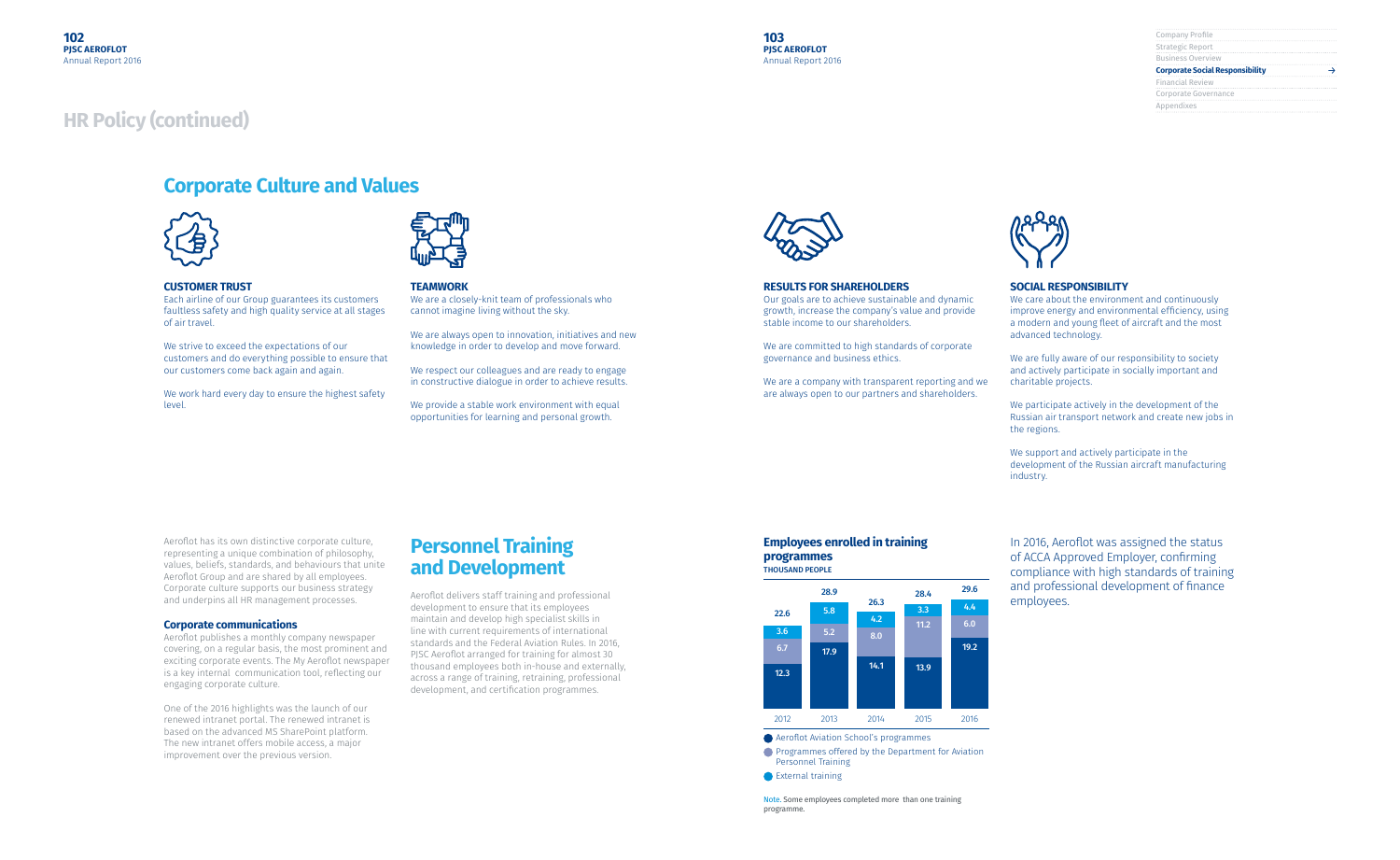| Company Profile                        |  |
|----------------------------------------|--|
| Strategic Report                       |  |
| <b>Business Overview</b>               |  |
| <b>Corporate Social Responsibility</b> |  |
| <b>Financial Review</b>                |  |
| Corporate Governance                   |  |
| Appendixes                             |  |
|                                        |  |



#### **CUSTOMER TRUST**

Each airline of our Group guarantees its customers faultless safety and high quality service at all stages of air travel.

We strive to exceed the expectations of our customers and do everything possible to ensure that our customers come back again and again.

We work hard every day to ensure the highest safety level.



#### **TEAMWORK**

We are a closely-knit team of professionals who cannot imagine living without the sky.

We are always open to innovation, initiatives and new knowledge in order to develop and move forward.

We respect our colleagues and are ready to engage in constructive dialogue in order to achieve results.

We provide a stable work environment with equal opportunities for learning and personal growth.



Aeroflot has its own distinctive corporate culture, representing a unique combination of philosophy, values, beliefs, standards, and behaviours that unite Aeroflot Group and are shared by all employees. Corporate culture supports our business strategy and underpins all HR management processes.

#### **Corporate communications**

Aeroflot publishes a monthly company newspaper covering, on a regular basis, the most prominent and exciting corporate events. The My Aeroflot newspaper is a key internal communication tool, reflecting our engaging corporate culture.

One of the 2016 highlights was the launch of our renewed intranet portal. The renewed intranet is based on the advanced MS SharePoint platform. The new intranet offers mobile access, a major improvement over the previous version.

## **Personnel Training and Development**

Aeroflot delivers staff training and professional development to ensure that its employees maintain and develop high specialist skills in line with current requirements of international standards and the Federal Aviation Rules. In 2016, PJSC Aeroflot arranged for training for almost 30 thousand employees both in-house and externally, across a range of training, retraining, professional development, and certification programmes.

## **Corporate Culture and Values**



#### **RESULTS FOR SHAREHOLDERS**

Our goals are to achieve sustainable and dynamic growth, increase the company's value and provide stable income to our shareholders.

We are committed to high standards of corporate governance and business ethics.

We are a company with transparent reporting and we are always open to our partners and shareholders.

#### **SOCIAL RESPONSIBILITY**

We care about the environment and continuously improve energy and environmental efficiency, using a modern and young fleet of aircraft and the most advanced technology.

We are fully aware of our responsibility to society and actively participate in socially important and charitable projects.

We participate actively in the development of the Russian air transport network and create new jobs in the regions.

We support and actively participate in the development of the Russian aircraft manufacturing industry.

In 2016, Aeroflot was assigned the status of ACCA Approved Employer, confirming compliance with high standards of training and professional development of finance employees.

#### **Employees enrolled in training programmes** THOUSAND PEOPLE

Note. Some employees completed more than one training programme.



- **Aeroflot Aviation School's programmes**
- **Programmes offered by the Department for Aviation** Personnel Training
- **■** External training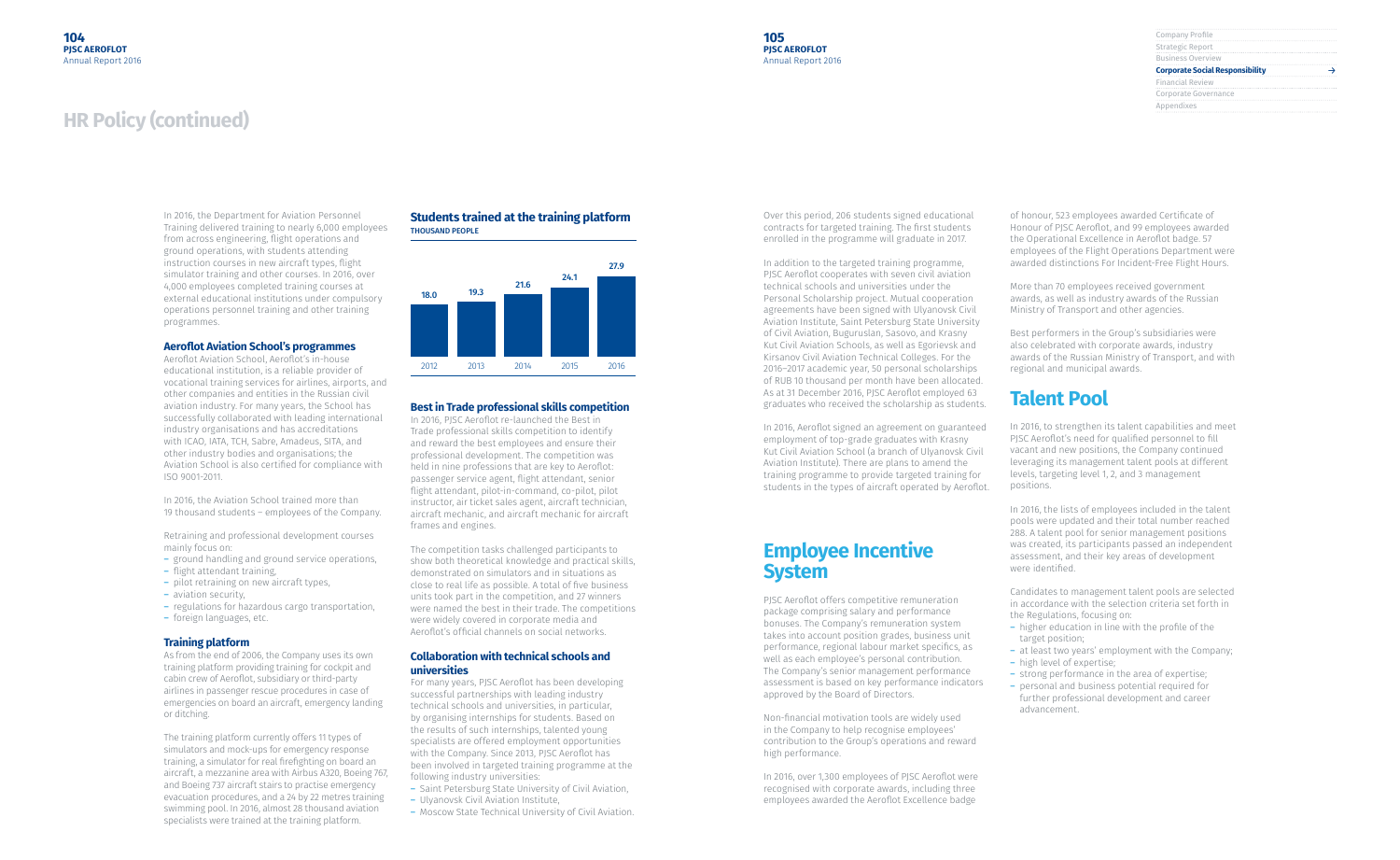| Company Profile                        |  |
|----------------------------------------|--|
| Strategic Report                       |  |
| <b>Business Overview</b>               |  |
| <b>Corporate Social Responsibility</b> |  |
| <b>Financial Review</b>                |  |
| Corporate Governance                   |  |
| Appendixes                             |  |
|                                        |  |

In 2016, the Department for Aviation Personnel Training delivered training to nearly 6,000 employees from across engineering, flight operations and ground operations, with students attending instruction courses in new aircraft types, flight simulator training and other courses. In 2016, over 4,000 employees completed training courses at external educational institutions under compulsory operations personnel training and other training programmes.

#### **Aeroflot Aviation School's programmes**

Aeroflot Aviation School, Aeroflot's in-house educational institution, is a reliable provider of vocational training services for airlines, airports, and other companies and entities in the Russian civil aviation industry. For many years, the School has successfully collaborated with leading international industry organisations and has accreditations with ICAO, IATA, TCH, Sabre, Amadeus, SITA, and other industry bodies and organisations; the Aviation School is also certified for compliance with ISO 9001-2011.

In 2016, the Aviation School trained more than 19 thousand students – employees of the Company.

Retraining and professional development courses mainly focus on:

- ― ground handling and ground service operations,
- ― flight attendant training,
- ― pilot retraining on new aircraft types,
- ― aviation security,
- ― regulations for hazardous cargo transportation,
- ― foreign languages, etc.

#### **Training platform**

As from the end of 2006, the Company uses its own training platform providing training for cockpit and cabin crew of Aeroflot, subsidiary or third-party airlines in passenger rescue procedures in case of emergencies on board an aircraft, emergency landing or ditching.

The training platform currently offers 11 types of simulators and mock-ups for emergency response training, a simulator for real firefighting on board an aircraft, a mezzanine area with Airbus A320, Boeing 767, and Boeing 737 aircraft stairs to practise emergency evacuation procedures, and a 24 by 22 metres training swimming pool. In 2016, almost 28 thousand aviation specialists were trained at the training platform.

#### **Best in Trade professional skills competition**

In 2016, PJSC Aeroflot re-launched the Best in Trade professional skills competition to identify and reward the best employees and ensure their professional development. The competition was held in nine professions that are key to Aeroflot: passenger service agent, flight attendant, senior flight attendant, pilot-in-command, co-pilot, pilot instructor, air ticket sales agent, aircraft technician, aircraft mechanic, and aircraft mechanic for aircraft frames and engines.

The competition tasks challenged participants to show both theoretical knowledge and practical skills, demonstrated on simulators and in situations as close to real life as possible. A total of five business units took part in the competition, and 27 winners were named the best in their trade. The competitions were widely covered in corporate media and Aeroflot's official channels on social networks.

#### **Collaboration with technical schools and universities**

For many years, PJSC Aeroflot has been developing successful partnerships with leading industry technical schools and universities, in particular, by organising internships for students. Based on the results of such internships, talented young specialists are offered employment opportunities with the Company. Since 2013, PJSC Aeroflot has been involved in targeted training programme at the following industry universities:

- ― Saint Petersburg State University of Civil Aviation,
- ― Ulyanovsk Civil Aviation Institute,
- ― Moscow State Technical University of Civil Aviation.

#### **Students trained at the training platform** THOUSAND PEOPLE



Over this period, 206 students signed educational contracts for targeted training. The first students enrolled in the programme will graduate in 2017.

In addition to the targeted training programme, PJSC Aeroflot cooperates with seven civil aviation technical schools and universities under the Personal Scholarship project. Mutual cooperation agreements have been signed with Ulyanovsk Civil Aviation Institute, Saint Petersburg State University of Civil Aviation, Buguruslan, Sasovo, and Krasny Kut Civil Aviation Schools, as well as Egorievsk and Kirsanov Civil Aviation Technical Colleges. For the 2016–2017 academic year, 50 personal scholarships of RUB 10 thousand per month have been allocated. As at 31 December 2016, PJSC Aeroflot employed 63 graduates who received the scholarship as students.

In 2016, Aeroflot signed an agreement on guaranteed employment of top-grade graduates with Krasny Kut Civil Aviation School (a branch of Ulyanovsk Civil Aviation Institute). There are plans to amend the training programme to provide targeted training for students in the types of aircraft operated by Aeroflot.

## **Employee Incentive System**

PJSC Aeroflot offers competitive remuneration package comprising salary and performance bonuses. The Company's remuneration system takes into account position grades, business unit performance, regional labour market specifics, as well as each employee's personal contribution. The Company's senior management performance assessment is based on key performance indicators approved by the Board of Directors.

Non-financial motivation tools are widely used in the Company to help recognise employees' contribution to the Group's operations and reward high performance.

In 2016, over 1,300 employees of PJSC Aeroflot were recognised with corporate awards, including three employees awarded the Aeroflot Excellence badge

of honour, 523 employees awarded Certificate of Honour of PJSC Aeroflot, and 99 employees awarded the Operational Excellence in Aeroflot badge. 57 employees of the Flight Operations Department were awarded distinctions For Incident-Free Flight Hours.

More than 70 employees received government awards, as well as industry awards of the Russian Ministry of Transport and other agencies.

Best performers in the Group's subsidiaries were also celebrated with corporate awards, industry awards of the Russian Ministry of Transport, and with regional and municipal awards.

## **Talent Pool**

In 2016, to strengthen its talent capabilities and meet PJSC Aeroflot's need for qualified personnel to fill vacant and new positions, the Company continued leveraging its management talent pools at different levels, targeting level 1, 2, and 3 management positions.

In 2016, the lists of employees included in the talent pools were updated and their total number reached 288. A talent pool for senior management positions was created, its participants passed an independent assessment, and their key areas of development were identified.

Candidates to management talent pools are selected in accordance with the selection criteria set forth in the Regulations, focusing on:

- ― higher education in line with the profile of the target position;
- ― at least two years' employment with the Company;
- ― high level of expertise;
- ― strong performance in the area of expertise;
- ― personal and business potential required for further professional development and career advancement.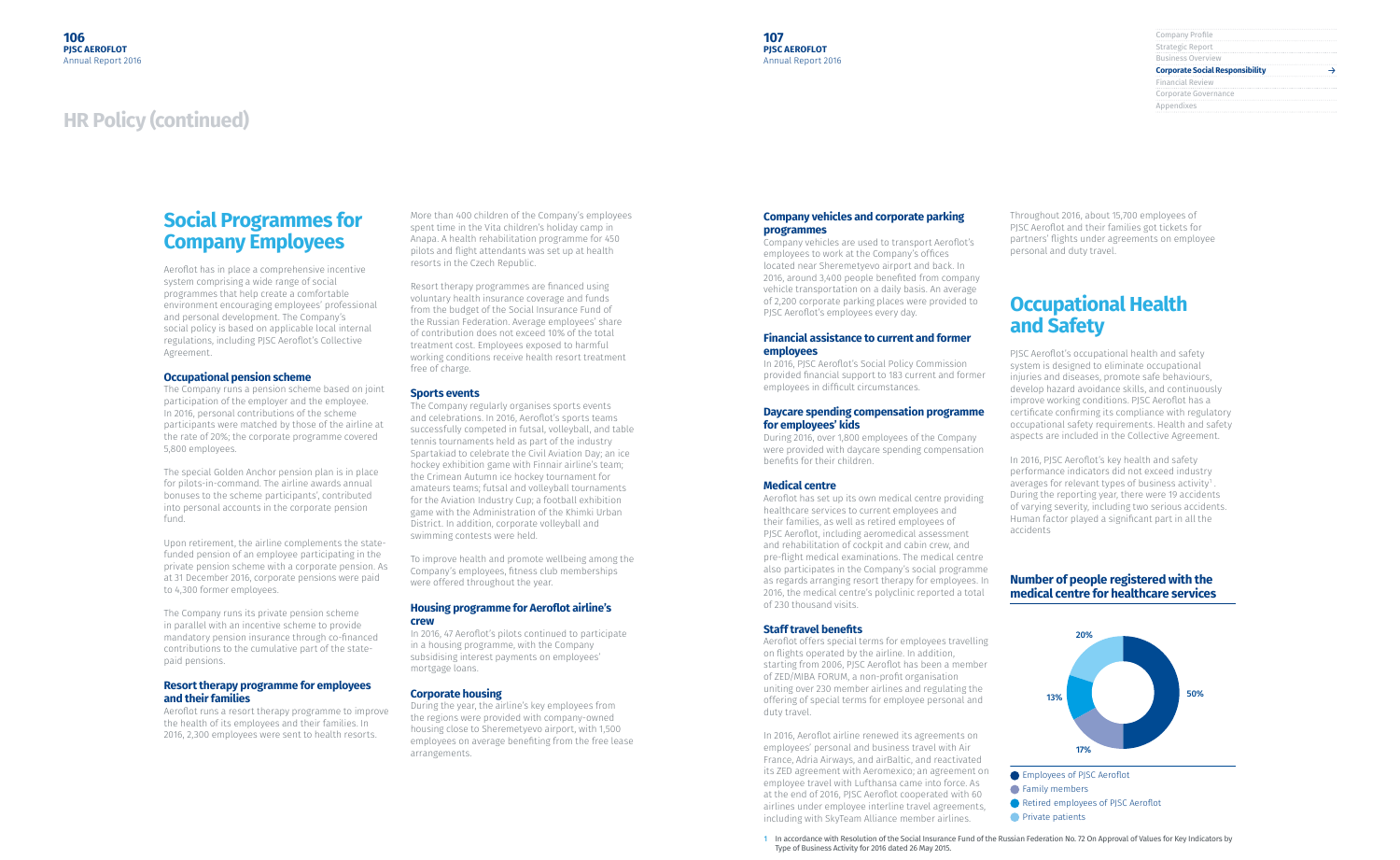| Company Profile                        |  |
|----------------------------------------|--|
| Strategic Report                       |  |
| <b>Business Overview</b>               |  |
| <b>Corporate Social Responsibility</b> |  |
| <b>Financial Review</b>                |  |
| Corporate Governance                   |  |
| Appendixes                             |  |
|                                        |  |

## **Social Programmes for Company Employees**

Aeroflot has in place a comprehensive incentive system comprising a wide range of social programmes that help create a comfortable environment encouraging employees' professional and personal development. The Company's social policy is based on applicable local internal regulations, including PJSC Aeroflot's Collective Agreement.

#### **Occupational pension scheme**

The Company runs a pension scheme based on joint participation of the employer and the employee. In 2016, personal contributions of the scheme participants were matched by those of the airline at the rate of 20%; the corporate programme covered 5,800 employees.

The special Golden Anchor pension plan is in place for pilots-in-command. The airline awards annual bonuses to the scheme participants', contributed into personal accounts in the corporate pension fund.

Upon retirement, the airline complements the statefunded pension of an employee participating in the private pension scheme with a corporate pension. As at 31 December 2016, corporate pensions were paid to 4,300 former employees.

The Company runs its private pension scheme in parallel with an incentive scheme to provide mandatory pension insurance through co-financed contributions to the cumulative part of the statepaid pensions.

#### **Resort therapy programme for employees and their families**

Aeroflot runs a resort therapy programme to improve the health of its employees and their families. In 2016, 2,300 employees were sent to health resorts.

More than 400 children of the Company's employees spent time in the Vita children's holiday camp in Anapa. A health rehabilitation programme for 450 pilots and flight attendants was set up at health resorts in the Czech Republic.

Resort therapy programmes are financed using voluntary health insurance coverage and funds from the budget of the Social Insurance Fund of the Russian Federation. Average employees' share of contribution does not exceed 10% of the total treatment cost. Employees exposed to harmful working conditions receive health resort treatment free of charge.

#### **Sports events**

The Company regularly organises sports events and celebrations. In 2016, Aeroflot's sports teams successfully competed in futsal, volleyball, and table tennis tournaments held as part of the industry Spartakiad to celebrate the Civil Aviation Day; an ice hockey exhibition game with Finnair airline's team; the Crimean Autumn ice hockey tournament for amateurs teams; futsal and volleyball tournaments for the Aviation Industry Cup; a football exhibition game with the Administration of the Khimki Urban District. In addition, corporate volleyball and swimming contests were held.

To improve health and promote wellbeing among the Company's employees, fitness club memberships were offered throughout the year.

#### **Housing programme for Aeroflot airline's crew**

In 2016, 47 Aeroflot's pilots continued to participate in a housing programme, with the Company subsidising interest payments on employees' mortgage loans.

#### **Corporate housing**

During the year, the airline's key employees from the regions were provided with company-owned housing close to Sheremetyevo airport, with 1,500 employees on average benefiting from the free lease arrangements.

#### **Company vehicles and corporate parking programmes**

Company vehicles are used to transport Aeroflot's employees to work at the Company's offices located near Sheremetyevo airport and back. In 2016, around 3,400 people benefited from company vehicle transportation on a daily basis. An average of 2,200 corporate parking places were provided to PJSC Aeroflot's employees every day.

#### **Financial assistance to current and former employees**

In 2016, PJSC Aeroflot's Social Policy Commission provided financial support to 183 current and former employees in difficult circumstances.

#### **Daycare spending compensation programme for employees' kids**

During 2016, over 1,800 employees of the Company were provided with daycare spending compensation benefits for their children.

#### **Medical centre**

Aeroflot has set up its own medical centre providing healthcare services to current employees and their families, as well as retired employees of PJSC Aeroflot, including aeromedical assessment and rehabilitation of cockpit and cabin crew, and pre-flight medical examinations. The medical centre also participates in the Company's social programme as regards arranging resort therapy for employees. In 2016, the medical centre's polyclinic reported a total of 230 thousand visits.

#### **Staff travel benefits**

Aeroflot offers special terms for employees travelling on flights operated by the airline. In addition, starting from 2006, PJSC Aeroflot has been a member of ZED/MIBA FORUM, a non-profit organisation uniting over 230 member airlines and regulating the offering of special terms for employee personal and duty travel.

In 2016, Aeroflot airline renewed its agreements on employees' personal and business travel with Air France, Adria Airways, and airBaltic, and reactivated its ZED agreement with Aeromexico; an agreement on employee travel with Lufthansa came into force. As at the end of 2016, PJSC Aeroflot cooperated with 60 airlines under employee interline travel agreements, including with SkyTeam Alliance member airlines.

Throughout 2016, about 15,700 employees of PJSC Aeroflot and their families got tickets for partners' flights under agreements on employee personal and duty travel.

## **Occupational Health and Safety**

PJSC Aeroflot's occupational health and safety system is designed to eliminate occupational injuries and diseases, promote safe behaviours, develop hazard avoidance skills, and continuously improve working conditions. PJSC Aeroflot has a certificate confirming its compliance with regulatory occupational safety requirements. Health and safety aspects are included in the Collective Agreement.

In 2016, PJSC Aeroflot's key health and safety performance indicators did not exceed industry averages for relevant types of business activity $\mathfrak{1}$ . During the reporting year, there were 19 accidents of varying severity, including two serious accidents. Human factor played a significant part in all the accidents

#### **Number of people registered with the medical centre for healthcare services**



1 In accordance with Resolution of the Social Insurance Fund of the Russian Federation No. 72 On Approval of Values for Key Indicators by Type of Business Activity for 2016 dated 26 May 2015.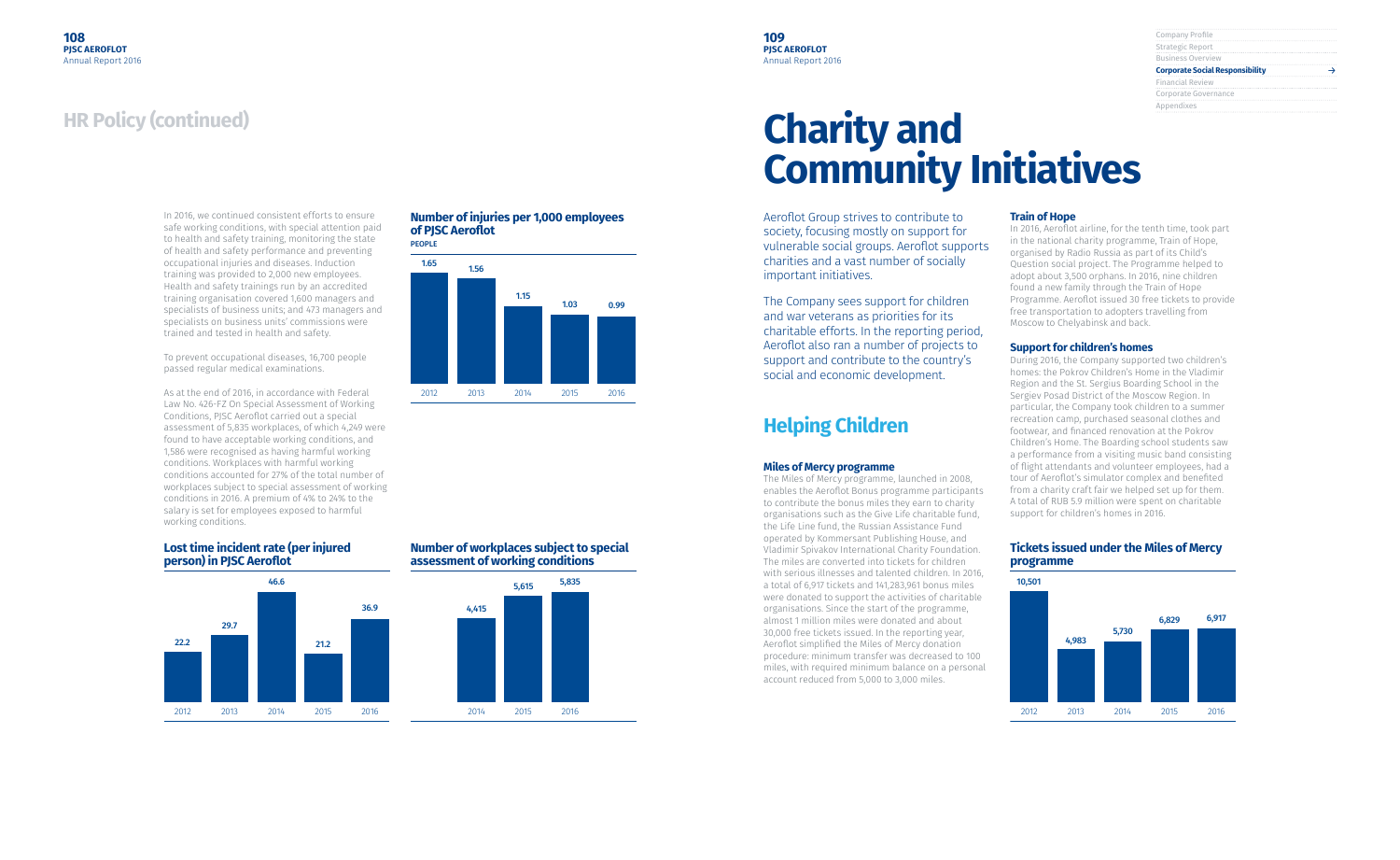| Company Profile                        |  |
|----------------------------------------|--|
| Strategic Report                       |  |
| <b>Business Overview</b>               |  |
| <b>Corporate Social Responsibility</b> |  |
|                                        |  |
| <b>Financial Review</b>                |  |
| Corporate Governance                   |  |
| Appendixes                             |  |

In 2016, we continued consistent efforts to ensure safe working conditions, with special attention paid to health and safety training, monitoring the state of health and safety performance and preventing occupational injuries and diseases. Induction training was provided to 2,000 new employees. Health and safety trainings run by an accredited training organisation covered 1,600 managers and specialists of business units; and 473 managers and specialists on business units' commissions were trained and tested in health and safety.

To prevent occupational diseases, 16,700 people passed regular medical examinations.

As at the end of 2016, in accordance with Federal Law No. 426-FZ On Special Assessment of Working Conditions, PJSC Aeroflot carried out a special assessment of 5,835 workplaces, of which 4,249 were found to have acceptable working conditions, and 1,586 were recognised as having harmful working conditions. Workplaces with harmful working conditions accounted for 27% of the total number of workplaces subject to special assessment of working conditions in 2016. A premium of 4% to 24% to the salary is set for employees exposed to harmful working conditions.

#### **Number of injuries per 1,000 employees of PJSC Aeroflot**

#### **Lost time incident rate (per injured person) in PJSC Aeroflot**





#### **Number of workplaces subject to special assessment of working conditions**



## **Charity and Community Initiatives**

Aeroflot Group strives to contribute to society, focusing mostly on support for vulnerable social groups. Aeroflot supports charities and a vast number of socially important initiatives.

The Company sees support for children and war veterans as priorities for its charitable efforts. In the reporting period, Aeroflot also ran a number of projects to support and contribute to the country's social and economic development.

## **Helping Children**

#### **Miles of Mercy programme**

The Miles of Mercy programme, launched in 2008, enables the Aeroflot Bonus programme participants to contribute the bonus miles they earn to charity organisations such as the Give Life charitable fund, the Life Line fund, the Russian Assistance Fund operated by Kommersant Publishing House, and Vladimir Spivakov International Charity Foundation. The miles are converted into tickets for children with serious illnesses and talented children. In 2016, a total of 6,917 tickets and 141,283,961 bonus miles were donated to support the activities of charitable organisations. Since the start of the programme, almost 1 million miles were donated and about 30,000 free tickets issued. In the reporting year, Aeroflot simplified the Miles of Mercy donation procedure: minimum transfer was decreased to 100 miles, with required minimum balance on a personal account reduced from 5,000 to 3,000 miles.

#### **Train of Hope**

In 2016, Aeroflot airline, for the tenth time, took part in the national charity programme, Train of Hope, organised by Radio Russia as part of its Child's Question social project. The Programme helped to adopt about 3,500 orphans. In 2016, nine children found a new family through the Train of Hope Programme. Aeroflot issued 30 free tickets to provide free transportation to adopters travelling from Moscow to Chelyabinsk and back.

#### **Support for children's homes**

During 2016, the Company supported two children's homes: the Pokrov Children's Home in the Vladimir Region and the St. Sergius Boarding School in the Sergiev Posad District of the Moscow Region. In particular, the Company took children to a summer recreation camp, purchased seasonal clothes and footwear, and financed renovation at the Pokrov Children's Home. The Boarding school students saw a performance from a visiting music band consisting of flight attendants and volunteer employees, had a tour of Aeroflot's simulator complex and benefited from a charity craft fair we helped set up for them. A total of RUB 5.9 million were spent on charitable support for children's homes in 2016.

#### **Tickets issued under the Miles of Mercy programme**

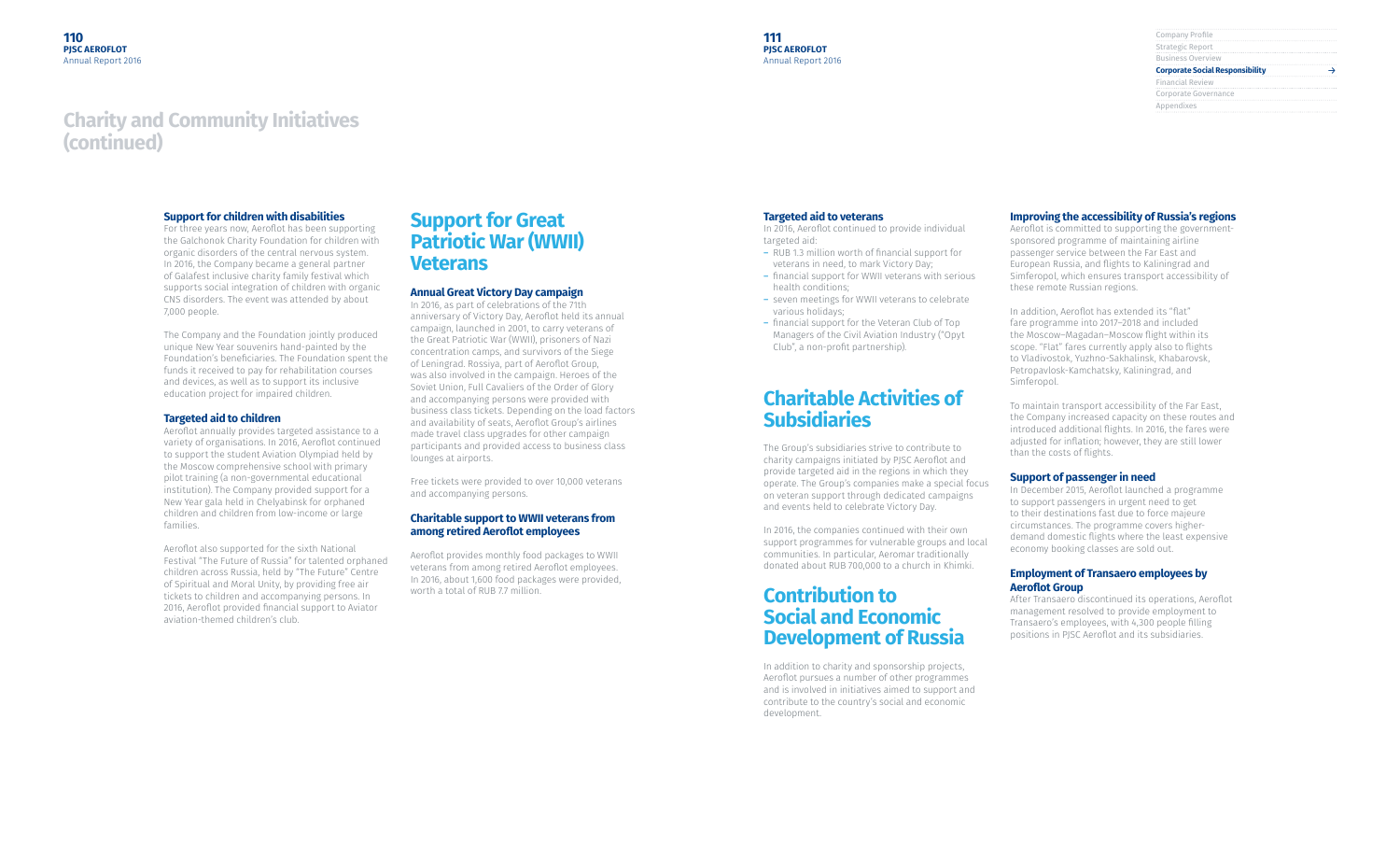| Company Profile                        |  |
|----------------------------------------|--|
| Strategic Report                       |  |
| <b>Business Overview</b>               |  |
| <b>Corporate Social Responsibility</b> |  |
| <b>Financial Review</b>                |  |
| Corporate Governance                   |  |
| Appendixes                             |  |
|                                        |  |

#### **Support for children with disabilities**

For three years now, Aeroflot has been supporting the Galchonok Charity Foundation for children with organic disorders of the central nervous system. In 2016, the Company became a general partner of Galafest inclusive charity family festival which supports social integration of children with organic CNS disorders. The event was attended by about 7,000 people.

The Company and the Foundation jointly produced unique New Year souvenirs hand-painted by the Foundation's beneficiaries. The Foundation spent the funds it received to pay for rehabilitation courses and devices, as well as to support its inclusive education project for impaired children.

#### **Targeted aid to children**

Aeroflot annually provides targeted assistance to a variety of organisations. In 2016, Aeroflot continued to support the student Aviation Olympiad held by the Moscow comprehensive school with primary pilot training (a non-governmental educational institution). The Company provided support for a New Year gala held in Chelyabinsk for orphaned children and children from low-income or large families.

Aeroflot also supported for the sixth National Festival "The Future of Russia" for talented orphaned children across Russia, held by "The Future" Centre of Spiritual and Moral Unity, by providing free air tickets to children and accompanying persons. In 2016, Aeroflot provided financial support to Aviator aviation-themed children's club.

## **Support for Great Patriotic War (WWII) Veterans**

#### **Annual Great Victory Day campaign**

In 2016, as part of celebrations of the 71th anniversary of Victory Day, Aeroflot held its annual campaign, launched in 2001, to carry veterans of the Great Patriotic War (WWII), prisoners of Nazi concentration camps, and survivors of the Siege of Leningrad. Rossiya, part of Aeroflot Group, was also involved in the campaign. Heroes of the Soviet Union, Full Cavaliers of the Order of Glory and accompanying persons were provided with business class tickets. Depending on the load factors and availability of seats, Aeroflot Group's airlines made travel class upgrades for other campaign participants and provided access to business class lounges at airports.

Free tickets were provided to over 10,000 veterans and accompanying persons.

#### **Charitable support to WWII veterans from among retired Aeroflot employees**

Aeroflot provides monthly food packages to WWII veterans from among retired Aeroflot employees. In 2016, about 1,600 food packages were provided, worth a total of RUB 7.7 million.

#### **Targeted aid to veterans**

In 2016, Aeroflot continued to provide individual targeted aid:

- ― RUB 1.3 million worth of financial support for veterans in need, to mark Victory Day;
- ― financial support for WWII veterans with serious health conditions;
- ― seven meetings for WWII veterans to celebrate various holidays;
- ― financial support for the Veteran Club of Top Managers of the Civil Aviation Industry ("Opyt Club", a non-profit partnership).

## **Charitable Activities of Subsidiaries**

The Group's subsidiaries strive to contribute to charity campaigns initiated by PJSC Aeroflot and provide targeted aid in the regions in which they operate. The Group's companies make a special focus on veteran support through dedicated campaigns and events held to celebrate Victory Day.

In 2016, the companies continued with their own support programmes for vulnerable groups and local communities. In particular, Aeromar traditionally donated about RUB 700,000 to a church in Khimki.

## **Contribution to Social and Economic Development of Russia**

In addition to charity and sponsorship projects, Aeroflot pursues a number of other programmes and is involved in initiatives aimed to support and contribute to the country's social and economic development.

#### **Improving the accessibility of Russia's regions**

Aeroflot is committed to supporting the governmentsponsored programme of maintaining airline passenger service between the Far East and European Russia, and flights to Kaliningrad and Simferopol, which ensures transport accessibility of these remote Russian regions.

In addition, Aeroflot has extended its "flat" fare programme into 2017–2018 and included the Moscow–Magadan–Moscow flight within its scope. "Flat" fares currently apply also to flights to Vladivostok, Yuzhno-Sakhalinsk, Khabarovsk, Petropavlosk-Kamchatsky, Kaliningrad, and Simferopol.

To maintain transport accessibility of the Far East, the Company increased capacity on these routes and introduced additional flights. In 2016, the fares were adjusted for inflation; however, they are still lower than the costs of flights.

#### **Support of passenger in need**

In December 2015, Aeroflot launched a programme to support passengers in urgent need to get to their destinations fast due to force majeure circumstances. The programme covers higherdemand domestic flights where the least expensive economy booking classes are sold out.

#### **Employment of Transaero employees by Aeroflot Group**

After Transaero discontinued its operations, Aeroflot management resolved to provide employment to Transaero's employees, with 4,300 people filling positions in PJSC Aeroflot and its subsidiaries.

## **Charity and Community Initiatives (continued)**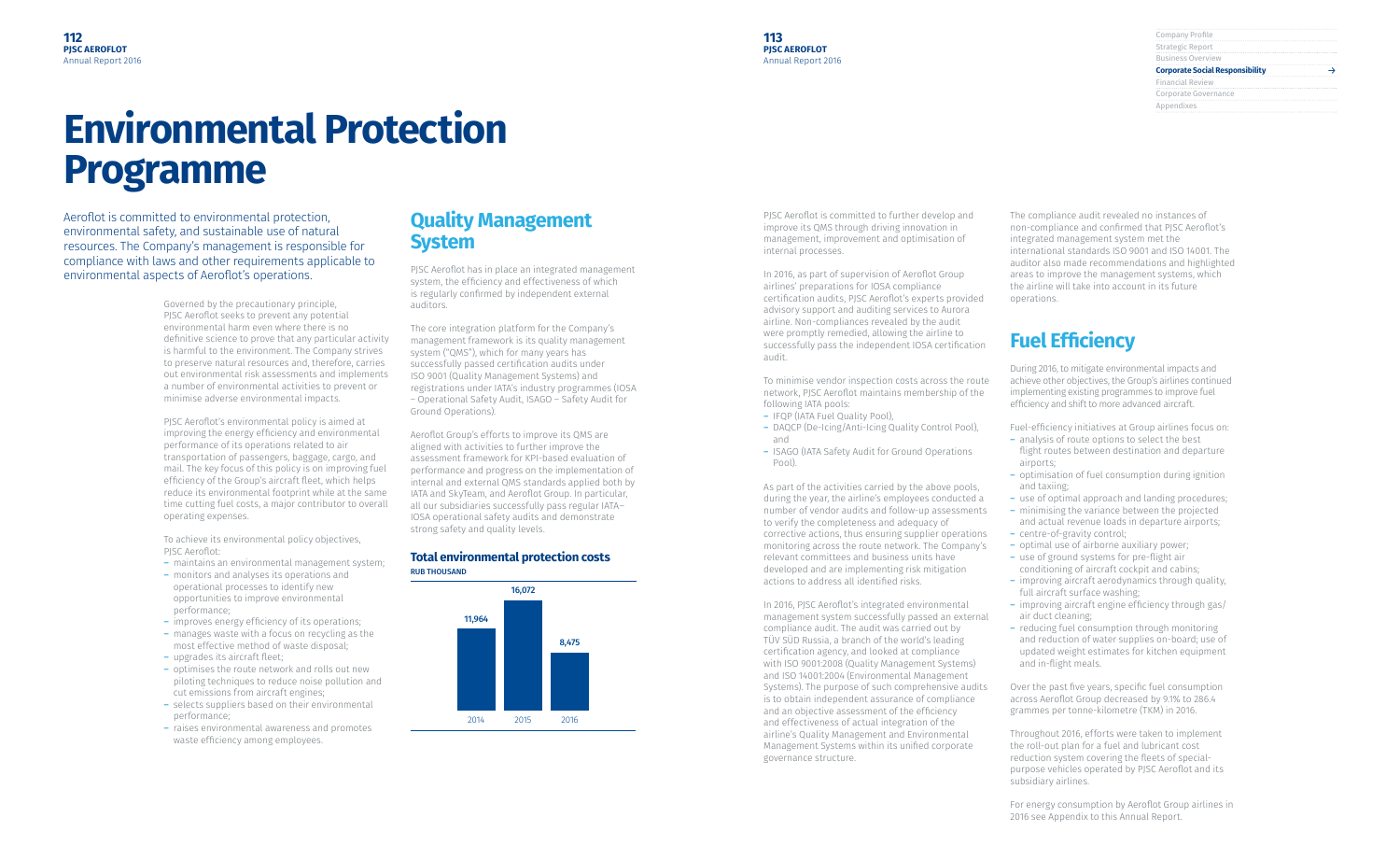| Company Profile                        |  |
|----------------------------------------|--|
| Strategic Report                       |  |
| <b>Business Overview</b>               |  |
| <b>Corporate Social Responsibility</b> |  |
| <b>Financial Review</b>                |  |
| Corporate Governance                   |  |
|                                        |  |
| Appendixes                             |  |

## **Environmental Protection Programme**

Governed by the precautionary principle, PJSC Aeroflot seeks to prevent any potential environmental harm even where there is no definitive science to prove that any particular activity is harmful to the environment. The Company strives to preserve natural resources and, therefore, carries out environmental risk assessments and implements a number of environmental activities to prevent or minimise adverse environmental impacts.

To achieve its environmental policy objectives, PISC Aeroflot:

PJSC Aeroflot's environmental policy is aimed at improving the energy efficiency and environmental performance of its operations related to air transportation of passengers, baggage, cargo, and mail. The key focus of this policy is on improving fuel efficiency of the Group's aircraft fleet, which helps reduce its environmental footprint while at the same time cutting fuel costs, a major contributor to overall operating expenses.

- ― maintains an environmental management system;
- ― monitors and analyses its operations and operational processes to identify new opportunities to improve environmental performance;
- ― improves energy efficiency of its operations;
- ― manages waste with a focus on recycling as the most effective method of waste disposal;
- ― upgrades its aircraft fleet;
- ― optimises the route network and rolls out new piloting techniques to reduce noise pollution and cut emissions from aircraft engines;
- ― selects suppliers based on their environmental performance;
- ― raises environmental awareness and promotes waste efficiency among employees.

## **Quality Management System**

PJSC Aeroflot has in place an integrated management system, the efficiency and effectiveness of which is regularly confirmed by independent external auditors.

The core integration platform for the Company's management framework is its quality management system ("QMS"), which for many years has successfully passed certification audits under ISO 9001 (Quality Management Systems) and registrations under IATA's industry programmes (IOSA – Operational Safety Audit, ISAGO – Safety Audit for Ground Operations).

Aeroflot Group's efforts to improve its QMS are aligned with activities to further improve the assessment framework for KPI-based evaluation of performance and progress on the implementation of internal and external QMS standards applied both by IATA and SkyTeam, and Aeroflot Group. In particular, all our subsidiaries successfully pass regular IATA– IOSA operational safety audits and demonstrate strong safety and quality levels.

#### **Total environmental protection costs** RUB THOUSAND



PJSC Aeroflot is committed to further develop and improve its QMS through driving innovation in management, improvement and optimisation of internal processes.

In 2016, as part of supervision of Aeroflot Group airlines' preparations for IOSA compliance certification audits, PJSC Aeroflot's experts provided advisory support and auditing services to Aurora airline. Non-compliances revealed by the audit were promptly remedied, allowing the airline to successfully pass the independent IOSA certification audit.

To minimise vendor inspection costs across the route network, PJSC Aeroflot maintains membership of the following IATA pools:

- ― IFQP (IATA Fuel Quality Pool),
- ― DAQCP (De-Icing/Anti-Icing Quality Control Pool), and
- ― ISAGO (IATA Safety Audit for Ground Operations Pool).

As part of the activities carried by the above pools, during the year, the airline's employees conducted a number of vendor audits and follow-up assessments to verify the completeness and adequacy of corrective actions, thus ensuring supplier operations monitoring across the route network. The Company's relevant committees and business units have developed and are implementing risk mitigation actions to address all identified risks.

In 2016, PJSC Aeroflot's integrated environmental management system successfully passed an external compliance audit. The audit was carried out by TÜV SÜD Russia, a branch of the world's leading certification agency, and looked at compliance with ISO 9001:2008 (Quality Management Systems) and ISO 14001:2004 (Environmental Management Systems). The purpose of such comprehensive audits is to obtain independent assurance of compliance and an objective assessment of the efficiency and effectiveness of actual integration of the airline's Quality Management and Environmental Management Systems within its unified corporate governance structure.

The compliance audit revealed no instances of non-compliance and confirmed that PJSC Aeroflot's integrated management system met the international standards ISO 9001 and ISO 14001. The auditor also made recommendations and highlighted areas to improve the management systems, which the airline will take into account in its future operations.

## **Fuel Efficiency**

During 2016, to mitigate environmental impacts and achieve other objectives, the Group's airlines continued implementing existing programmes to improve fuel efficiency and shift to more advanced aircraft.

Fuel-efficiency initiatives at Group airlines focus on:

- ― analysis of route options to select the best flight routes between destination and departure airports;
- ― optimisation of fuel consumption during ignition and taxiing;
- ― use of optimal approach and landing procedures;
- ― minimising the variance between the projected and actual revenue loads in departure airports;
- ― centre-of-gravity control;
- ― optimal use of airborne auxiliary power;
- ― use of ground systems for pre-flight air conditioning of aircraft cockpit and cabins;
- ― improving aircraft aerodynamics through quality, full aircraft surface washing;
- ― improving aircraft engine efficiency through gas/ air duct cleaning;
- ― reducing fuel consumption through monitoring and reduction of water supplies on-board; use of updated weight estimates for kitchen equipment and in-flight meals.

Over the past five years, specific fuel consumption across Aeroflot Group decreased by 9.1% to 286.4 grammes per tonne-kilometre (TKM) in 2016.

Throughout 2016, efforts were taken to implement the roll-out plan for a fuel and lubricant cost reduction system covering the fleets of specialpurpose vehicles operated by PJSC Aeroflot and its subsidiary airlines.

For energy consumption by Aeroflot Group airlines in 2016 see Appendix to this Annual Report.

Aeroflot is committed to environmental protection, environmental safety, and sustainable use of natural resources. The Company's management is responsible for compliance with laws and other requirements applicable to environmental aspects of Aeroflot's operations.